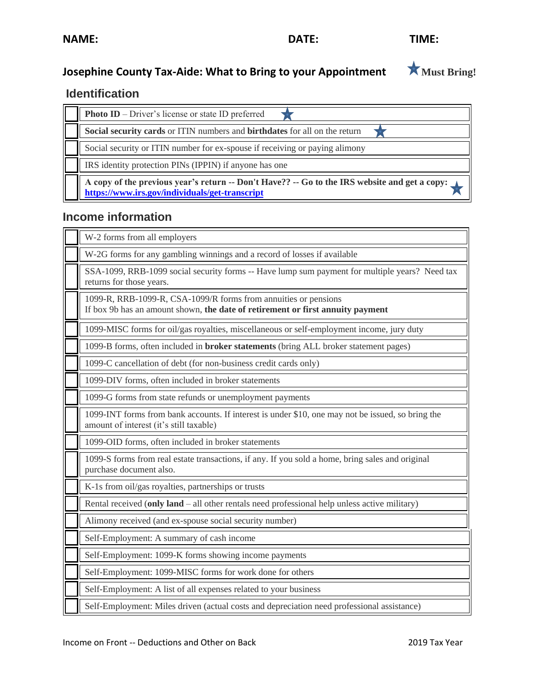ř.

<u> The Communication of the Communication of the Communication of the Communication of the Communication of the Co</u>

# **Josephine County Tax-Aide: What to Bring to your Appointment**  $\star$  **Must Bring!**

# **Identification**

| <b>Photo ID</b> – Driver's license or state ID preferred                                                                                        |
|-------------------------------------------------------------------------------------------------------------------------------------------------|
| Social security cards or ITIN numbers and birthdates for all on the return                                                                      |
| Social security or ITIN number for ex-spouse if receiving or paying alimony                                                                     |
| IRS identity protection PINs (IPPIN) if anyone has one                                                                                          |
| A copy of the previous year's return -- Don't Have?? -- Go to the IRS website and get a copy:<br>https://www.irs.gov/individuals/get-transcript |

### **Income information**

| W-2 forms from all employers                                                                                                                      |
|---------------------------------------------------------------------------------------------------------------------------------------------------|
| W-2G forms for any gambling winnings and a record of losses if available                                                                          |
| SSA-1099, RRB-1099 social security forms -- Have lump sum payment for multiple years? Need tax<br>returns for those years.                        |
| 1099-R, RRB-1099-R, CSA-1099/R forms from annuities or pensions<br>If box 9b has an amount shown, the date of retirement or first annuity payment |
| 1099-MISC forms for oil/gas royalties, miscellaneous or self-employment income, jury duty                                                         |
| 1099-B forms, often included in <b>broker statements</b> (bring ALL broker statement pages)                                                       |
| 1099-C cancellation of debt (for non-business credit cards only)                                                                                  |
| 1099-DIV forms, often included in broker statements                                                                                               |
| 1099-G forms from state refunds or unemployment payments                                                                                          |
| 1099-INT forms from bank accounts. If interest is under \$10, one may not be issued, so bring the<br>amount of interest (it's still taxable)      |
| 1099-OID forms, often included in broker statements                                                                                               |
| 1099-S forms from real estate transactions, if any. If you sold a home, bring sales and original<br>purchase document also.                       |
| K-1s from oil/gas royalties, partnerships or trusts                                                                                               |
| Rental received (only land – all other rentals need professional help unless active military)                                                     |
| Alimony received (and ex-spouse social security number)                                                                                           |
| Self-Employment: A summary of cash income                                                                                                         |
| Self-Employment: 1099-K forms showing income payments                                                                                             |
| Self-Employment: 1099-MISC forms for work done for others                                                                                         |
| Self-Employment: A list of all expenses related to your business                                                                                  |
| Self-Employment: Miles driven (actual costs and depreciation need professional assistance)                                                        |